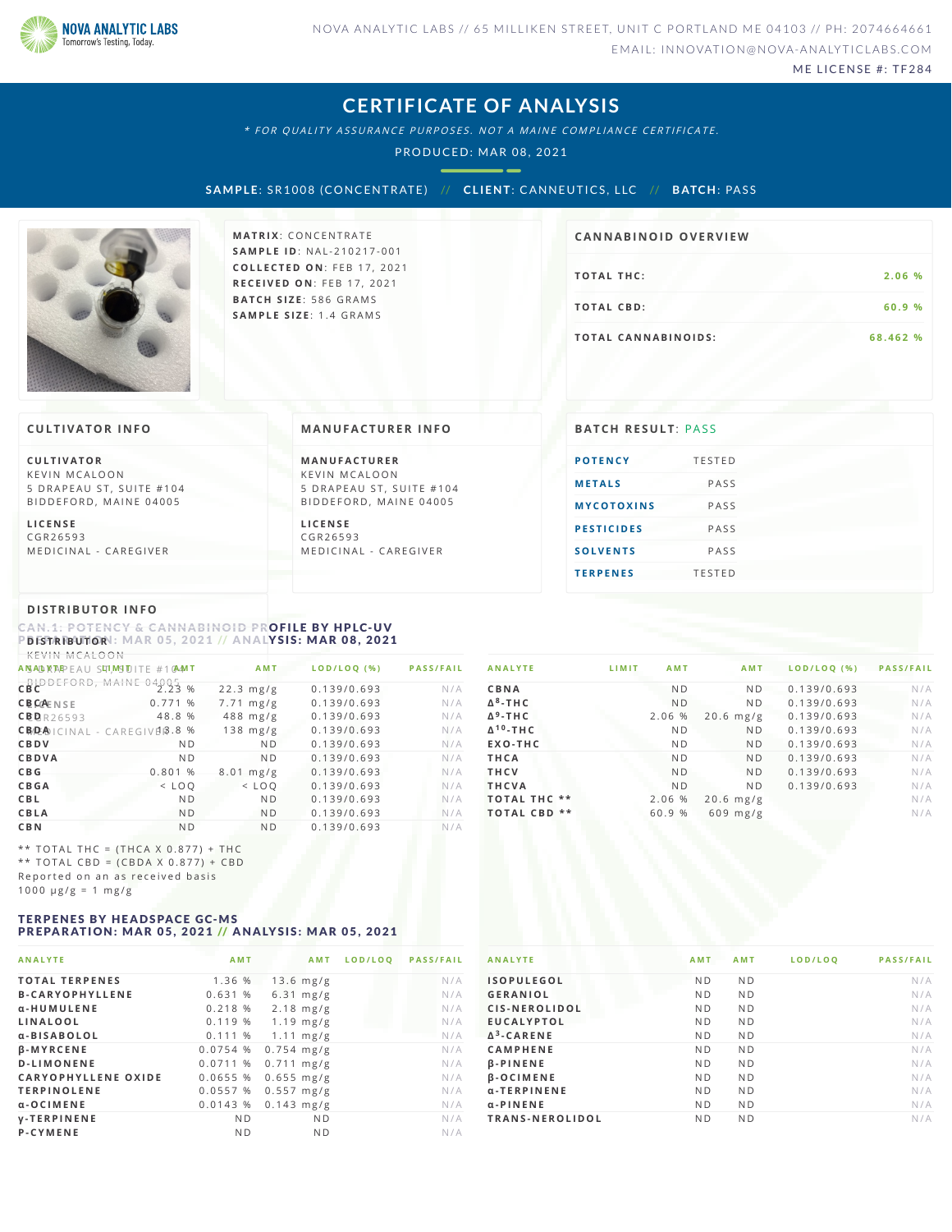

ME LICENSE #: TF284

# **CERTIFICATE OF ANALYSIS**

\* FOR QUALITY ASSURANCE PURPOSES. NOT A MAINE COMPLIANCE CERTIFICATE.

PRODUCED: MAR 08, 2021

--

**S AMPLE**: SR1008 (CONCENTRATE) // **CL IENT**: CANNEUTICS ,L LC // **B ATCH**: PAS S



**MATRIX: CONCENTRATE SA M P L E I D** :N A L - 2 1 0 2 1 7 - 0 0 1 **C O L L E C T E D O N** :F E B 1 7 , 2 0 2 1 **R E C E I V E D O N** : F E B 1 7 , 2 0 2 1 **BAT C H S I Z E** : 5 8 6 G R A M S **SA M P L E S I Z E** : 1 . 4 G R A M S

# **CA N N ABI N OID OVERVI EW**

| <b>TOTAL THC:</b>   | 2.06 %   |
|---------------------|----------|
| TOTAL CBD:          | 60.9 %   |
| TOTAL CANNABINOIDS: | 68.462 % |

### **CULTIVATOR I N FO**

**C U L T I VAT O R** KEVIN MCALOON 5 DRAPEAU ST, SUITE #104 B I D D E F O R D, M A I N E 0 4 0 0 5

**L I C E N S E** C G R 2 6 5 9 3 MEDICINAL - CAREGIVER

### **MA N UFACTURER I N FO**

**M A N U FAC T U R E R** KEVIN MCALOON 5 DRAPEAU ST, SUITE #104 BIDDEFORD, MAINE 04005

**L I C E N S E** C G R 2 6 5 9 3 MEDICINAL - CAREGIVER

| <b>BATCH RESULT: PASS</b> |               |
|---------------------------|---------------|
| <b>POTENCY</b>            | <b>TESTED</b> |
| <b>METALS</b>             | PASS          |
| <b>MYCOTOXINS</b>         | PASS          |
| <b>PESTICIDES</b>         | PASS          |
| <b>SOLVENTS</b>           | PASS          |
| <b>TERPENES</b>           | <b>TESTED</b> |

# **DI STRIBUTOR I N FO**

<span id="page-0-0"></span>CAN:1: POTENCY & CANNABINOID PR**OFILE BY HPLC-UV**<br>PBFSTRIBUTORI: MAR 05, 2021 // ANAL<mark>YSIS: MAR 08, 2021</mark>

| KEVIN MCALOON                                         |                |                     |             |                  |
|-------------------------------------------------------|----------------|---------------------|-------------|------------------|
| A NSAD RTAP EAU SITI, MSITITE #10AM T                 |                | <b>AMT</b>          | LOD/LOQ (%) | <b>PASS/FAIL</b> |
| CBC<br>CBC<br>CBC                                     | %              | $22.3$ mg/g         | 0.139/0.693 | N/A              |
| <b>CBCAENSE</b>                                       | 0.771%         | $7.71 \text{ mg/g}$ | 0.139/0.693 | N/A              |
| CBBR26593                                             | 48.8 %         | $488$ mg/g          | 0.139/0.693 | N/A              |
| CB <sub>D</sub> P <sub>A</sub> ICINAL - CAREGIVER.8 % |                | $138$ mg/g          | 0.139/0.693 | N/A              |
| CBDV                                                  | N <sub>D</sub> | N <sub>D</sub>      | 0.139/0.693 | N/A              |
| CBDVA                                                 | N <sub>D</sub> | N <sub>D</sub>      | 0.139/0.693 | N/A              |
| C B G                                                 | 0.801%         | $8.01$ mg/g         | 0.139/0.693 | N/A              |
| <b>CBGA</b>                                           | $<$ LOO        | $<$ LOO             | 0.139/0.693 | N/A              |
| CBL                                                   | N <sub>D</sub> | N <sub>D</sub>      | 0.139/0.693 | N/A              |
| <b>CBLA</b>                                           | N <sub>D</sub> | N <sub>D</sub>      | 0.139/0.693 | N/A              |
| C B N                                                 | N <sub>D</sub> | N <sub>D</sub>      | 0.139/0.693 | N/A              |
|                                                       |                |                     |             |                  |

\*\* TOTAL THC =  $(THCA X 0.877) + THC$ \*\* TOTAL CBD =  $(CBDA X 0.877) + CBD$ Reported on an as received basis  $1000 \text{ }\mu\text{g/g} = 1 \text{ }\text{mg/g}$ 

#### <span id="page-0-1"></span>TERPENES BY HEADSPACE GC-MS PREPARATION: MAR 05, 2021 // ANALYSIS: MAR 05, 2021

| <b>ANALYTE</b>             | AMT            | AMT                 | LOD/LOO | <b>PASS/FAIL</b> |
|----------------------------|----------------|---------------------|---------|------------------|
| <b>TOTAL TERPENES</b>      | 1.36 %         | $13.6$ mg/g         |         | N/A              |
| <b>B-CARYOPHYLLENE</b>     | 0.631%         | $6.31$ mg/g         |         | N/A              |
| α-HUMULENE                 | 0.218%         | $2.18$ mg/g         |         | N/A              |
| LINALOOL                   | 0.119%         | $1.19$ mg/g         |         | N/A              |
| α-BISABOLOL                |                | $0.111\%$ 1.11 mg/g |         | N/A              |
| <b>B-MYRCENE</b>           | 0.0754%        | $0.754$ mg/g        |         | N/A              |
| <b>D-LIMONENE</b>          | 0.0711%        | $0.711$ mg/g        |         | N/A              |
| <b>CARYOPHYLLENE OXIDE</b> | $0.0655$ %     | $0.655$ mg/g        |         | N/A              |
| <b>TERPINOLENE</b>         | 0.0557%        | $0.557$ mg/g        |         | N/A              |
| α-OCIMENE                  | 0.0143%        | $0.143$ mg/g        |         | N/A              |
| <b>V-TERPINENE</b>         | N <sub>D</sub> | N <sub>D</sub>      |         | N/A              |
| P-CYMENE                   | N <sub>D</sub> | N <sub>D</sub>      |         | N/A              |
|                            |                |                     |         |                  |

| <b>ANALYTE</b>              | <b>AMT</b><br>LIMIT | AMT            | LOD/LOQ (%) PASS/FAIL |     |
|-----------------------------|---------------------|----------------|-----------------------|-----|
| CBNA                        | N <sub>D</sub>      | N <sub>D</sub> | 0.139/0.693           | N/A |
| $\Delta^8$ -THC             | <b>ND</b>           | N <sub>D</sub> | 0.139/0.693           | N/A |
| $\Delta^9$ -THC             | 2.06 %              | $20.6$ mg/g    | 0.139/0.693           | N/A |
| $\Delta$ <sup>10</sup> -THC | N <sub>D</sub>      | <b>ND</b>      | 0.139/0.693           | N/A |
| EXO-THC                     | N <sub>D</sub>      | N <sub>D</sub> | 0.139/0.693           | N/A |
| THCA                        | N <sub>D</sub>      | N <sub>D</sub> | 0.139/0.693           | N/A |
| <b>THCV</b>                 | <b>ND</b>           | N <sub>D</sub> | 0.139/0.693           | N/A |
| <b>THCVA</b>                | N <sub>D</sub>      | N <sub>D</sub> | 0.139/0.693           | N/A |
| <b>TOTAL THC **</b>         | 2.06 %              | $20.6$ mg/g    |                       | N/A |
| $***$<br><b>TOTAL CBD</b>   | 60.9 %              | $609$ mg/g     |                       | N/A |

| <b>ANALYTE</b>     | <b>AMT</b>     | <b>AMT</b>     | LOD/LOO | <b>PASS/FAIL</b> |
|--------------------|----------------|----------------|---------|------------------|
| <b>ISOPULEGOL</b>  | N <sub>D</sub> | N <sub>D</sub> |         | N/A              |
| <b>GERANIOL</b>    | N <sub>D</sub> | N <sub>D</sub> |         | N/A              |
| CIS-NEROLIDOL      | N <sub>D</sub> | N <sub>D</sub> |         | N/A              |
| <b>EUCALYPTOL</b>  | N <sub>D</sub> | N <sub>D</sub> |         | N/A              |
| $\Delta^3$ -CARENE | N <sub>D</sub> | N <sub>D</sub> |         | N/A              |
| <b>CAMPHENE</b>    | N <sub>D</sub> | N <sub>D</sub> |         | N/A              |
| $\beta$ -PINENE    | N <sub>D</sub> | N <sub>D</sub> |         | N/A              |
| <b>B-OCIMENE</b>   | N <sub>D</sub> | N <sub>D</sub> |         | N/A              |
| $a$ -TERPINENE     | N <sub>D</sub> | N <sub>D</sub> |         | N/A              |
| $\alpha$ -PINENE   | N <sub>D</sub> | N <sub>D</sub> |         | N/A              |
| TRANS-NEROLIDOL    | N <sub>D</sub> | N <sub>D</sub> |         | N/A              |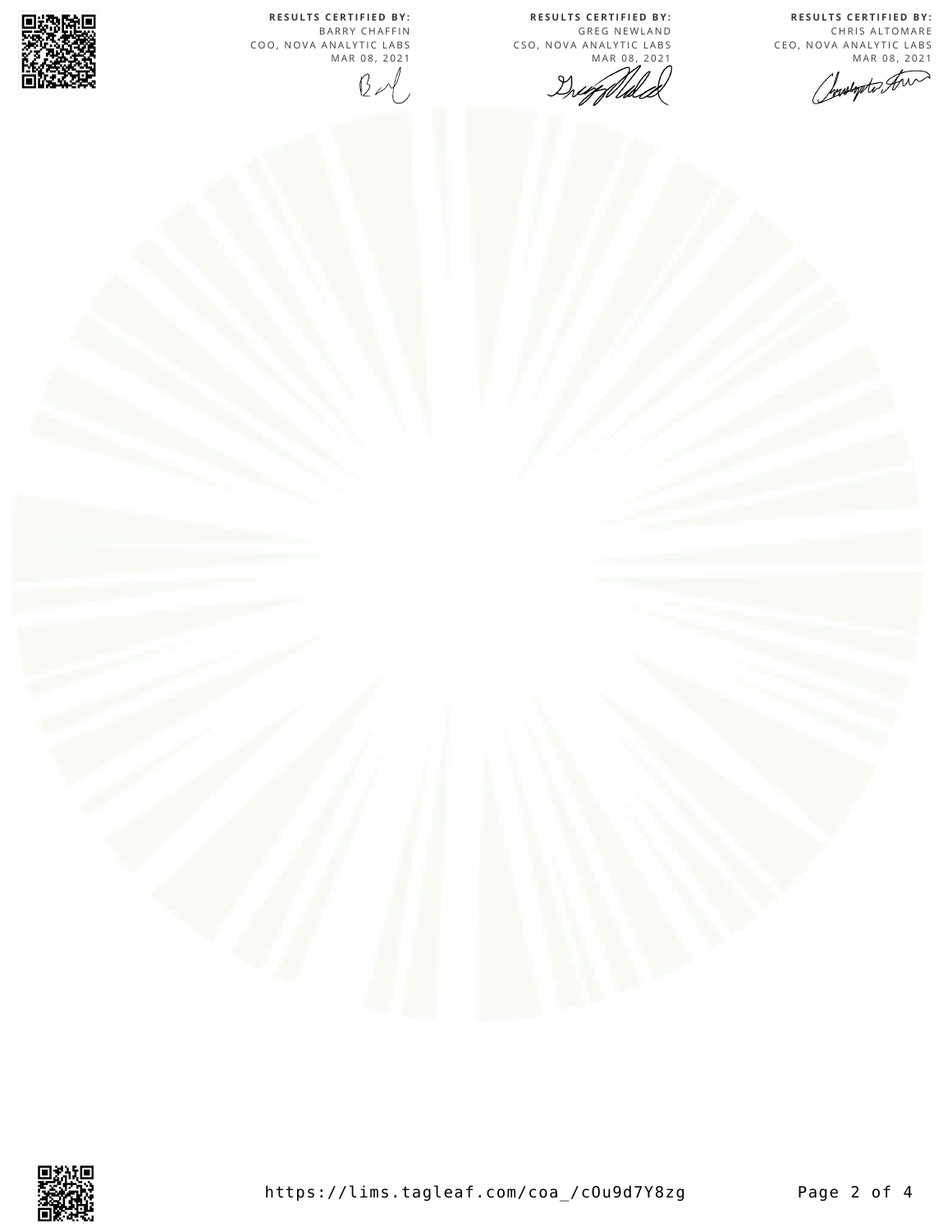**R E S U L T S C E R T I F I E D BY :** CHRIS ALTOMARE CEO, NOVA ANALYTIC LABS<br>MAR 08, 2021

**R E S U L T S C E R T I F I E D BY :** GREG NEWLAND

MAR 08, 2021

CSO, NOVA ANALYTIC LABS

Druggelle

https://lims.tagleaf.com/coa\_/c0u9d7Y8zg Page 2 of 4

whopto Am

**R E S U L T S C E R T I F I E D BY :** B A R R Y C H A F F I N COO, NOVA ANALYTIC LABS MAR 08, 2021  $B - 1$ 



騷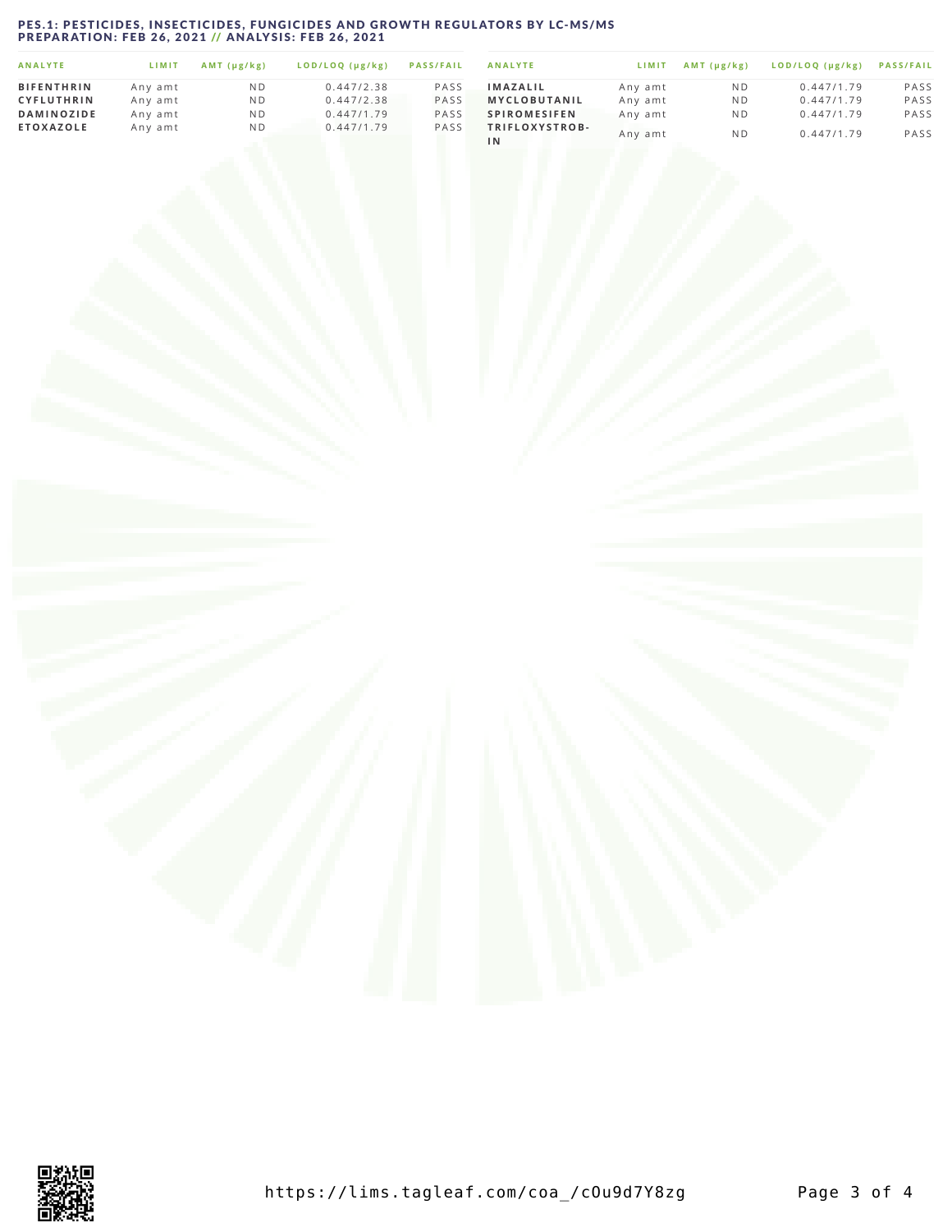# <span id="page-2-0"></span>PES.1: PESTICIDES, INSECTICIDES, FUNGICIDES AND GROWTH REGULATORS BY LC-MS/MS<br>PREPARATION: FEB 26, 2021 // ANALYSIS: FEB 26, 2021

| <b>ANALYTE</b>    | LIMIT   | $AMT$ ( $\mu$ g/ $kg$ ) | LOD/LOQ (µg/kg) | <b>PASS/FAIL</b> | <b>ANALYTE</b>              | LIMIT   | $AMT(\mu g/kg)$ | LOD/LOQ (µg/kg) | <b>PASS/FAIL</b> |
|-------------------|---------|-------------------------|-----------------|------------------|-----------------------------|---------|-----------------|-----------------|------------------|
| <b>BIFENTHRIN</b> | Any amt | N D                     | 0.447/2.38      | PASS             | <b>IMAZALIL</b>             | Any amt | N D             | 0.447/1.79      | PASS             |
| <b>CYFLUTHRIN</b> | Any amt | N D                     | 0.447/2.38      | PASS             | <b>MYCLOBUTANIL</b>         | Any amt | N D             | 0.447/1.79      | PASS             |
| <b>DAMINOZIDE</b> | Any amt | N D                     | 0.447/1.79      | PASS             | <b>SPIROMESIFEN</b>         | Anv amt | ND              | 0.447/1.79      | PASS             |
| <b>ETOXAZOLE</b>  | Any amt | N D                     | 0.447/1.79      | PASS             | TRIFLOXYSTROB-<br><b>IN</b> | Any amt | N <sub>D</sub>  | 0.447/1.79      | PASS             |